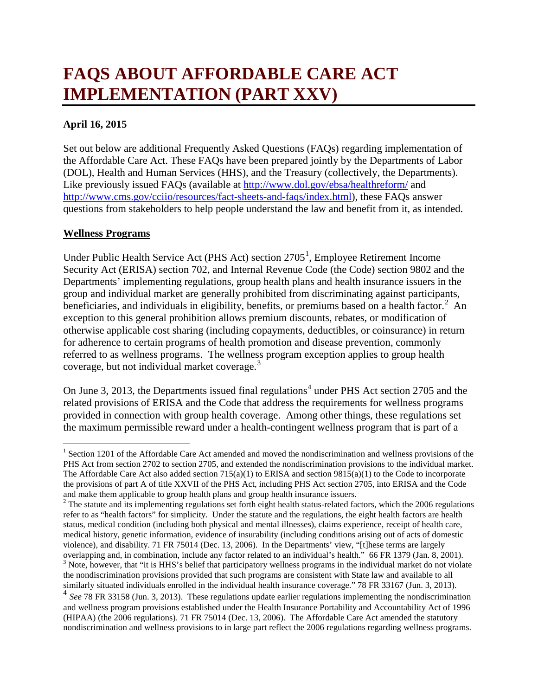# **FAQS ABOUT AFFORDABLE CARE ACT IMPLEMENTATION (PART XXV)**

# **April 16, 2015**

Set out below are additional Frequently Asked Questions (FAQs) regarding implementation of the Affordable Care Act. These FAQs have been prepared jointly by the Departments of Labor (DOL), Health and Human Services (HHS), and the Treasury (collectively, the Departments). Like previously issued FAQs (available at [http://www.dol.gov/ebsa/healthreform/](http://www.dol.gov/ebsa/healthreform/index.html) and [http://www.cms.gov/cciio/resources/fact-sheets-and-faqs/index.html\)](http://www.cms.gov/cciio/resources/fact-sheets-and-faqs/index.html), these FAQs answer questions from stakeholders to help people understand the law and benefit from it, as intended.

#### **Wellness Programs**

Under Public Health Service Act (PHS Act) section 2705<sup>[1](#page-0-0)</sup>, Employee Retirement Income Security Act (ERISA) section 702, and Internal Revenue Code (the Code) section 9802 and the Departments' implementing regulations, group health plans and health insurance issuers in the group and individual market are generally prohibited from discriminating against participants, beneficiaries, and individuals in eligibility, benefits, or premiums based on a health factor.<sup>[2](#page-0-1)</sup> An exception to this general prohibition allows premium discounts, rebates, or modification of otherwise applicable cost sharing (including copayments, deductibles, or coinsurance) in return for adherence to certain programs of health promotion and disease prevention, commonly referred to as wellness programs. The wellness program exception applies to group health coverage, but not individual market coverage.<sup>[3](#page-0-2)</sup>

On June 3, 2013, the Departments issued final regulations<sup>[4](#page-0-3)</sup> under PHS Act section 2705 and the related provisions of ERISA and the Code that address the requirements for wellness programs provided in connection with group health coverage. Among other things, these regulations set the maximum permissible reward under a health-contingent wellness program that is part of a

<span id="page-0-0"></span><sup>&</sup>lt;sup>1</sup> Section 1201 of the Affordable Care Act amended and moved the nondiscrimination and wellness provisions of the PHS Act from section 2702 to section 2705, and extended the nondiscrimination provisions to the individual market. The Affordable Care Act also added section 715(a)(1) to ERISA and section 9815(a)(1) to the Code to incorporate the provisions of part A of title XXVII of the PHS Act, including PHS Act section 2705, into ERISA and the Code and make them applicable to group health plans and group health insurance issuers.

<span id="page-0-1"></span><sup>&</sup>lt;sup>2</sup> The statute and its implementing regulations set forth eight health status-related factors, which the 2006 regulations refer to as "health factors" for simplicity. Under the statute and the regulations, the eight health factors are health status, medical condition (including both physical and mental illnesses), claims experience, receipt of health care, medical history, genetic information, evidence of insurability (including conditions arising out of acts of domestic violence), and disability. 71 FR 75014 (Dec. 13, 2006). In the Departments' view, "[t]hese terms are largely overlapping and, in combination, include any factor related to an individual's health." 66 FR 1379 (Jan. 8, 2001).<br><sup>3</sup> Note, however, that "it is HHS's belief that participatory wellness programs in the individual market d the nondiscrimination provisions provided that such programs are consistent with State law and available to all similarly situated individuals enrolled in the individual health insurance coverage." 78 FR 33167 (Jun. 3, 201

<span id="page-0-3"></span><span id="page-0-2"></span> $4$  See 78 FR 33158 (Jun. 3, 2013). These regulations update earlier regulations implementing the nondiscrimination and wellness program provisions established under the Health Insurance Portability and Accountability Act of 1996 (HIPAA) (the 2006 regulations). 71 FR 75014 (Dec. 13, 2006). The Affordable Care Act amended the statutory nondiscrimination and wellness provisions to in large part reflect the 2006 regulations regarding wellness programs.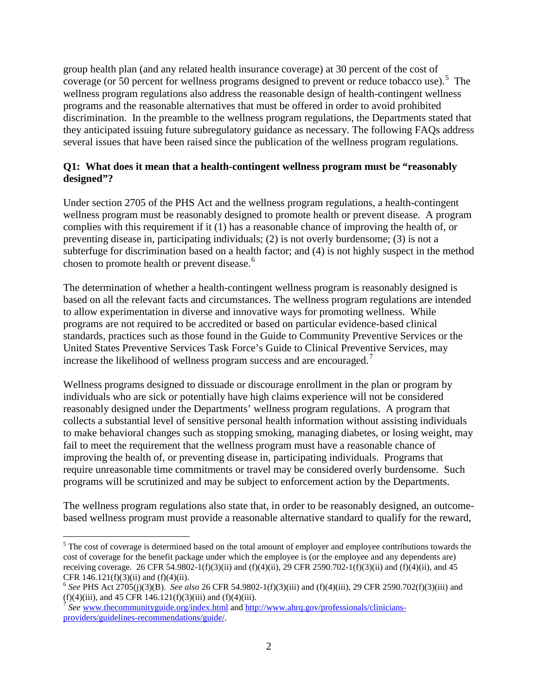group health plan (and any related health insurance coverage) at 30 percent of the cost of coverage (or [5](#page-1-0)0 percent for wellness programs designed to prevent or reduce tobacco use).<sup>5</sup> The wellness program regulations also address the reasonable design of health-contingent wellness programs and the reasonable alternatives that must be offered in order to avoid prohibited discrimination. In the preamble to the wellness program regulations, the Departments stated that they anticipated issuing future subregulatory guidance as necessary. The following FAQs address several issues that have been raised since the publication of the wellness program regulations.

## **Q1: What does it mean that a health-contingent wellness program must be "reasonably designed"?**

Under section 2705 of the PHS Act and the wellness program regulations, a health-contingent wellness program must be reasonably designed to promote health or prevent disease. A program complies with this requirement if it (1) has a reasonable chance of improving the health of, or preventing disease in, participating individuals; (2) is not overly burdensome; (3) is not a subterfuge for discrimination based on a health factor; and (4) is not highly suspect in the method chosen to promote health or prevent disease.<sup>[6](#page-1-1)</sup>

The determination of whether a health-contingent wellness program is reasonably designed is based on all the relevant facts and circumstances. The wellness program regulations are intended to allow experimentation in diverse and innovative ways for promoting wellness. While programs are not required to be accredited or based on particular evidence-based clinical standards, practices such as those found in the Guide to Community Preventive Services or the United States Preventive Services Task Force's Guide to Clinical Preventive Services, may increase the likelihood of wellness program success and are encouraged.<sup>[7](#page-1-2)</sup>

Wellness programs designed to dissuade or discourage enrollment in the plan or program by individuals who are sick or potentially have high claims experience will not be considered reasonably designed under the Departments' wellness program regulations. A program that collects a substantial level of sensitive personal health information without assisting individuals to make behavioral changes such as stopping smoking, managing diabetes, or losing weight, may fail to meet the requirement that the wellness program must have a reasonable chance of improving the health of, or preventing disease in, participating individuals. Programs that require unreasonable time commitments or travel may be considered overly burdensome. Such programs will be scrutinized and may be subject to enforcement action by the Departments.

The wellness program regulations also state that, in order to be reasonably designed, an outcomebased wellness program must provide a reasonable alternative standard to qualify for the reward,

<span id="page-1-0"></span><sup>&</sup>lt;sup>5</sup> The cost of coverage is determined based on the total amount of employer and employee contributions towards the cost of coverage for the benefit package under which the employee is (or the employee and any dependents are) receiving coverage. 26 CFR 54.9802-1(f)(3)(ii) and (f)(4)(ii), 29 CFR 2590.702-1(f)(3)(ii) and (f)(4)(ii), and 45 CFR  $146.121(f)(3)(ii)$  and  $(f)(4)(ii)$ .

<span id="page-1-1"></span><sup>6</sup> *See* PHS Act 2705(j)(3)(B). *See also* 26 CFR 54.9802-1(f)(3)(iii) and (f)(4)(iii), 29 CFR 2590.702(f)(3)(iii) and  $(f)(4)(iii)$ , and 45 CFR 146.121 $(f)(3)(iii)$  and  $(f)(4)(iii)$ .

<span id="page-1-2"></span><sup>7</sup> *See* [www.thecommunityguide.org/index.html](http://www.thecommunityguide.org/index.html) and [http://www.ahrq.gov/professionals/clinicians](http://www.ahrq.gov/professionals/clinicians-providers/guidelines-recommendations/guide/)[providers/guidelines-recommendations/guide/.](http://www.ahrq.gov/professionals/clinicians-providers/guidelines-recommendations/guide/)